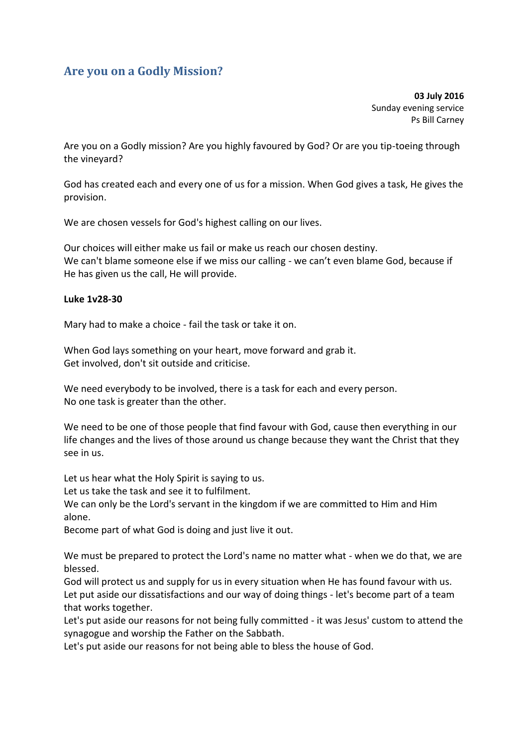## **Are you on a Godly Mission?**

**03 July 2016**  Sunday evening service Ps Bill Carney

Are you on a Godly mission? Are you highly favoured by God? Or are you tip-toeing through the vineyard?

God has created each and every one of us for a mission. When God gives a task, He gives the provision.

We are chosen vessels for God's highest calling on our lives.

Our choices will either make us fail or make us reach our chosen destiny. We can't blame someone else if we miss our calling - we can't even blame God, because if He has given us the call, He will provide.

## **Luke 1v28-30**

Mary had to make a choice - fail the task or take it on.

When God lays something on your heart, move forward and grab it. Get involved, don't sit outside and criticise.

We need everybody to be involved, there is a task for each and every person. No one task is greater than the other.

We need to be one of those people that find favour with God, cause then everything in our life changes and the lives of those around us change because they want the Christ that they see in us.

Let us hear what the Holy Spirit is saying to us.

Let us take the task and see it to fulfilment.

We can only be the Lord's servant in the kingdom if we are committed to Him and Him alone.

Become part of what God is doing and just live it out.

We must be prepared to protect the Lord's name no matter what - when we do that, we are blessed.

God will protect us and supply for us in every situation when He has found favour with us. Let put aside our dissatisfactions and our way of doing things - let's become part of a team that works together.

Let's put aside our reasons for not being fully committed - it was Jesus' custom to attend the synagogue and worship the Father on the Sabbath.

Let's put aside our reasons for not being able to bless the house of God.